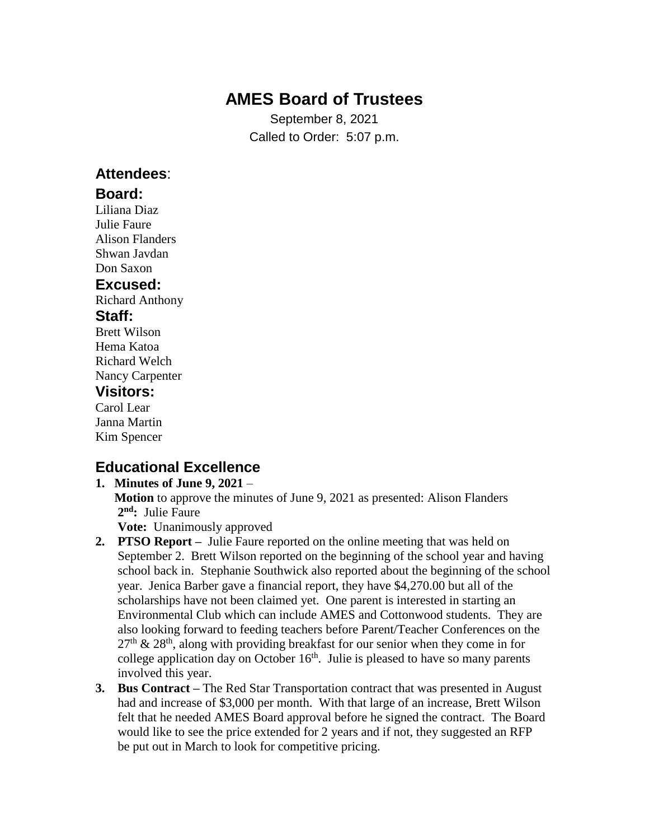# **AMES Board of Trustees**

September 8, 2021 Called to Order: 5:07 p.m.

## **Attendees**:

### **Board:**

Liliana Diaz Julie Faure Alison Flanders Shwan Javdan Don Saxon

### **Excused:**

Richard Anthony

### **Staff:**

Brett Wilson Hema Katoa Richard Welch Nancy Carpenter

### **Visitors:**

Carol Lear Janna Martin Kim Spencer

# **Educational Excellence**

#### **1. Minutes of June 9, 2021** – **Motion** to approve the minutes of June 9, 2021 as presented: Alison Flanders **2 nd:** Julie Faure **Vote:** Unanimously approved

- **2. PTSO Report –** Julie Faure reported on the online meeting that was held on September 2. Brett Wilson reported on the beginning of the school year and having school back in. Stephanie Southwick also reported about the beginning of the school year. Jenica Barber gave a financial report, they have \$4,270.00 but all of the scholarships have not been claimed yet. One parent is interested in starting an Environmental Club which can include AMES and Cottonwood students. They are also looking forward to feeding teachers before Parent/Teacher Conferences on the  $27<sup>th</sup>$  &  $28<sup>th</sup>$ , along with providing breakfast for our senior when they come in for college application day on October  $16<sup>th</sup>$ . Julie is pleased to have so many parents involved this year.
- **3. Bus Contract –** The Red Star Transportation contract that was presented in August had and increase of \$3,000 per month. With that large of an increase, Brett Wilson felt that he needed AMES Board approval before he signed the contract. The Board would like to see the price extended for 2 years and if not, they suggested an RFP be put out in March to look for competitive pricing.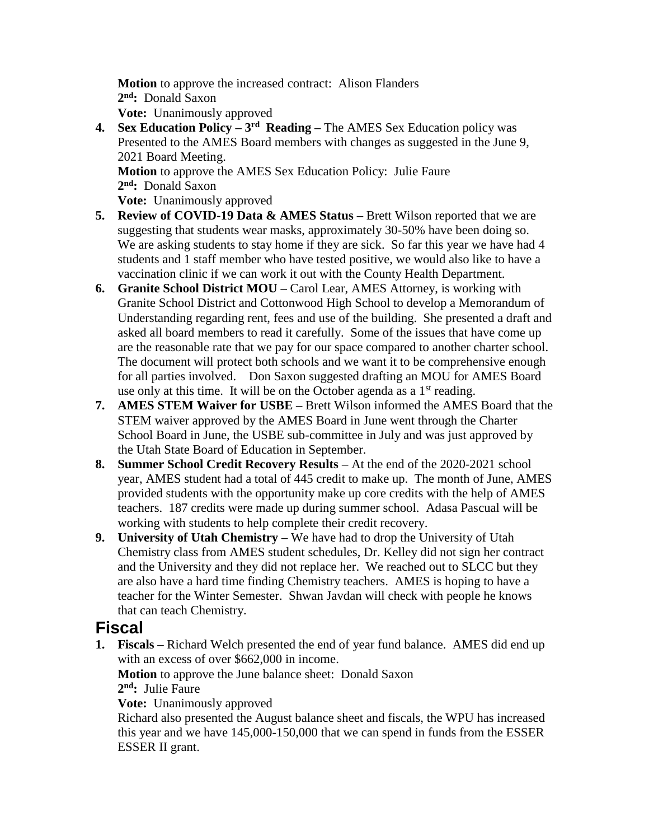**Motion** to approve the increased contract: Alison Flanders **2 nd:** Donald Saxon **Vote:** Unanimously approved

**4.** Sex Education Policy – 3<sup>rd</sup> Reading – The AMES Sex Education policy was Presented to the AMES Board members with changes as suggested in the June 9, 2021 Board Meeting.

 **Motion** to approve the AMES Sex Education Policy: Julie Faure **2 nd:** Donald Saxon

**Vote:** Unanimously approved

- **5. Review of COVID-19 Data & AMES Status –** Brett Wilson reported that we are suggesting that students wear masks, approximately 30-50% have been doing so. We are asking students to stay home if they are sick. So far this year we have had 4 students and 1 staff member who have tested positive, we would also like to have a vaccination clinic if we can work it out with the County Health Department.
- **6. Granite School District MOU –** Carol Lear, AMES Attorney, is working with Granite School District and Cottonwood High School to develop a Memorandum of Understanding regarding rent, fees and use of the building. She presented a draft and asked all board members to read it carefully. Some of the issues that have come up are the reasonable rate that we pay for our space compared to another charter school. The document will protect both schools and we want it to be comprehensive enough for all parties involved. Don Saxon suggested drafting an MOU for AMES Board use only at this time. It will be on the October agenda as a  $1<sup>st</sup>$  reading.
- **7. AMES STEM Waiver for USBE –** Brett Wilson informed the AMES Board that the STEM waiver approved by the AMES Board in June went through the Charter School Board in June, the USBE sub-committee in July and was just approved by the Utah State Board of Education in September.
- **8. Summer School Credit Recovery Results –** At the end of the 2020-2021 school year, AMES student had a total of 445 credit to make up. The month of June, AMES provided students with the opportunity make up core credits with the help of AMES teachers. 187 credits were made up during summer school. Adasa Pascual will be working with students to help complete their credit recovery.
- **9. University of Utah Chemistry –** We have had to drop the University of Utah Chemistry class from AMES student schedules, Dr. Kelley did not sign her contract and the University and they did not replace her. We reached out to SLCC but they are also have a hard time finding Chemistry teachers. AMES is hoping to have a teacher for the Winter Semester. Shwan Javdan will check with people he knows that can teach Chemistry.

## **Fiscal**

**1. Fiscals –** Richard Welch presented the end of year fund balance. AMES did end up with an excess of over \$662,000 in income.

 **Motion** to approve the June balance sheet: Donald Saxon **2 nd:** Julie Faure

**Vote:** Unanimously approved

 Richard also presented the August balance sheet and fiscals, the WPU has increased this year and we have 145,000-150,000 that we can spend in funds from the ESSER ESSER II grant.